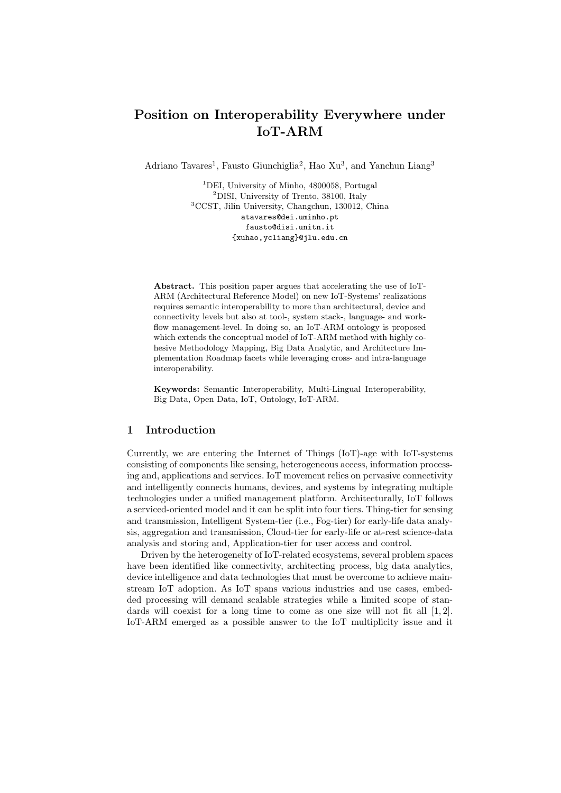# Position on Interoperability Everywhere under IoT-ARM

Adriano Tavares<sup>1</sup>, Fausto Giunchiglia<sup>2</sup>, Hao Xu<sup>3</sup>, and Yanchun Liang<sup>3</sup>

<sup>1</sup>DEI, University of Minho, 4800058, Portugal <sup>2</sup>DISI, University of Trento, 38100, Italy <sup>3</sup>CCST, Jilin University, Changchun, 130012, China atavares@dei.uminho.pt fausto@disi.unitn.it {xuhao,ycliang}@jlu.edu.cn

Abstract. This position paper argues that accelerating the use of IoT-ARM (Architectural Reference Model) on new IoT-Systems' realizations requires semantic interoperability to more than architectural, device and connectivity levels but also at tool-, system stack-, language- and workflow management-level. In doing so, an IoT-ARM ontology is proposed which extends the conceptual model of IoT-ARM method with highly cohesive Methodology Mapping, Big Data Analytic, and Architecture Implementation Roadmap facets while leveraging cross- and intra-language interoperability.

Keywords: Semantic Interoperability, Multi-Lingual Interoperability, Big Data, Open Data, IoT, Ontology, IoT-ARM.

### 1 Introduction

Currently, we are entering the Internet of Things (IoT)-age with IoT-systems consisting of components like sensing, heterogeneous access, information processing and, applications and services. IoT movement relies on pervasive connectivity and intelligently connects humans, devices, and systems by integrating multiple technologies under a unified management platform. Architecturally, IoT follows a serviced-oriented model and it can be split into four tiers. Thing-tier for sensing and transmission, Intelligent System-tier (i.e., Fog-tier) for early-life data analysis, aggregation and transmission, Cloud-tier for early-life or at-rest science-data analysis and storing and, Application-tier for user access and control.

Driven by the heterogeneity of IoT-related ecosystems, several problem spaces have been identified like connectivity, architecting process, big data analytics, device intelligence and data technologies that must be overcome to achieve mainstream IoT adoption. As IoT spans various industries and use cases, embedded processing will demand scalable strategies while a limited scope of standards will coexist for a long time to come as one size will not fit all  $[1, 2]$ . IoT-ARM emerged as a possible answer to the IoT multiplicity issue and it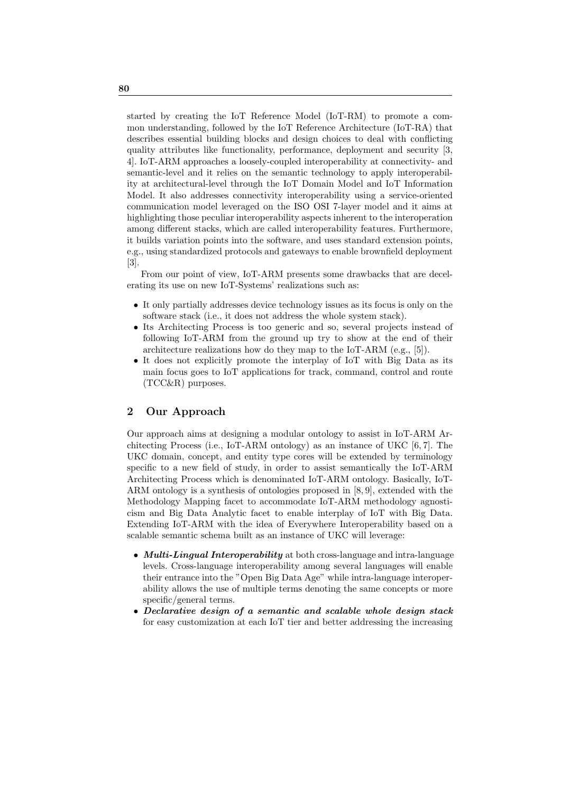started by creating the IoT Reference Model (IoT-RM) to promote a common understanding, followed by the IoT Reference Architecture (IoT-RA) that describes essential building blocks and design choices to deal with conflicting quality attributes like functionality, performance, deployment and security [3, 4]. IoT-ARM approaches a loosely-coupled interoperability at connectivity- and semantic-level and it relies on the semantic technology to apply interoperability at architectural-level through the IoT Domain Model and IoT Information Model. It also addresses connectivity interoperability using a service-oriented communication model leveraged on the ISO OSI 7-layer model and it aims at highlighting those peculiar interoperability aspects inherent to the interoperation among different stacks, which are called interoperability features. Furthermore, it builds variation points into the software, and uses standard extension points, e.g., using standardized protocols and gateways to enable brownfield deployment [3].

From our point of view, IoT-ARM presents some drawbacks that are decelerating its use on new IoT-Systems' realizations such as:

- It only partially addresses device technology issues as its focus is only on the software stack (i.e., it does not address the whole system stack).
- Its Architecting Process is too generic and so, several projects instead of following IoT-ARM from the ground up try to show at the end of their architecture realizations how do they map to the IoT-ARM (e.g., [5]).
- It does not explicitly promote the interplay of IoT with Big Data as its main focus goes to IoT applications for track, command, control and route (TCC&R) purposes.

### 2 Our Approach

Our approach aims at designing a modular ontology to assist in IoT-ARM Architecting Process (i.e., IoT-ARM ontology) as an instance of UKC  $[6, 7]$ . The UKC domain, concept, and entity type cores will be extended by terminology specific to a new field of study, in order to assist semantically the IoT-ARM Architecting Process which is denominated IoT-ARM ontology. Basically, IoT-ARM ontology is a synthesis of ontologies proposed in [8, 9], extended with the Methodology Mapping facet to accommodate IoT-ARM methodology agnosticism and Big Data Analytic facet to enable interplay of IoT with Big Data. Extending IoT-ARM with the idea of Everywhere Interoperability based on a scalable semantic schema built as an instance of UKC will leverage:

- Multi-Lingual Interoperability at both cross-language and intra-language levels. Cross-language interoperability among several languages will enable their entrance into the "Open Big Data Age" while intra-language interoperability allows the use of multiple terms denoting the same concepts or more specific/general terms.
- Declarative design of a semantic and scalable whole design stack for easy customization at each IoT tier and better addressing the increasing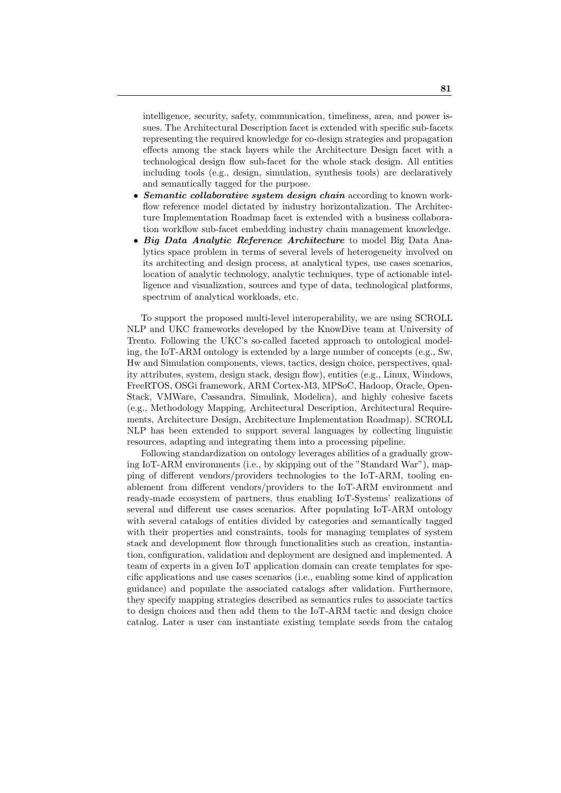intelligence, security, safety, communication, timeliness, area, and power issues. The Architectural Description facet is extended with specific sub-facets representing the required knowledge for co-design strategies and propagation effects among the stack layers while the Architecture Design facet with a technological design flow sub-facet for the whole stack design. All entities including tools (e.g., design, simulation, synthesis tools) are declaratively and semantically tagged for the purpose.

- **Semantic collaborative system design chain according to known work**flow reference model dictated by industry horizontalization. The Architecture Implementation Roadmap facet is extended with a business collaboration workflow sub-facet embedding industry chain management knowledge.
- Big Data Analytic Reference Architecture to model Big Data Analytics space problem in terms of several levels of heterogeneity involved on its architecting and design process, at analytical types, use cases scenarios, location of analytic technology, analytic techniques, type of actionable intelligence and visualization, sources and type of data, technological platforms, spectrum of analytical workloads, etc.

To support the proposed multi-level interoperability, we are using SCROLL NLP and UKC frameworks developed by the KnowDive team at University of Trento. Following the UKC's so-called faceted approach to ontological modeling, the IoT-ARM ontology is extended by a large number of concepts (e.g., Sw, Hw and Simulation components, views, tactics, design choice, perspectives, quality attributes, system, design stack, design flow), entities (e.g., Linux, Windows, FreeRTOS, OSGi framework, ARM Cortex-M3, MPSoC, Hadoop, Oracle, Open-Stack, VMWare, Cassandra, Simulink, Modelica), and highly cohesive facets (e.g., Methodology Mapping, Architectural Description, Architectural Requirements, Architecture Design, Architecture Implementation Roadmap). SCROLL NLP has been extended to support several languages by collecting linguistic resources, adapting and integrating them into a processing pipeline.

Following standardization on ontology leverages abilities of a gradually growing IoT-ARM environments (i.e., by skipping out of the "Standard War"), mapping of different vendors/providers technologies to the IoT-ARM, tooling enablement from different vendors/providers to the IoT-ARM environment and ready-made ecosystem of partners, thus enabling IoT-Systems' realizations of several and different use cases scenarios. After populating IoT-ARM ontology with several catalogs of entities divided by categories and semantically tagged with their properties and constraints, tools for managing templates of system stack and development flow through functionalities such as creation, instantiation, configuration, validation and deployment are designed and implemented. A team of experts in a given IoT application domain can create templates for specific applications and use cases scenarios (i.e., enabling some kind of application guidance) and populate the associated catalogs after validation. Furthermore, they specify mapping strategies described as semantics rules to associate tactics to design choices and then add them to the IoT-ARM tactic and design choice catalog. Later a user can instantiate existing template seeds from the catalog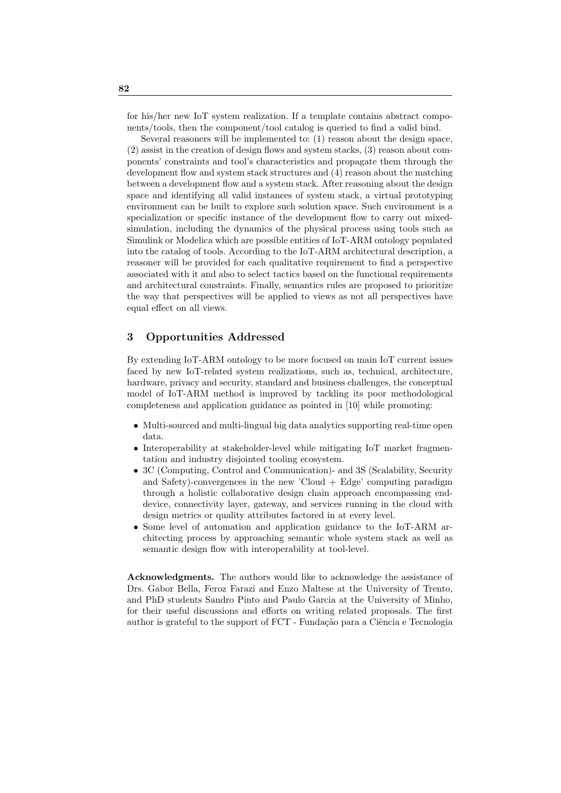for his/her new IoT system realization. If a template contains abstract components/tools, then the component/tool catalog is queried to find a valid bind.

Several reasoners will be implemented to: (1) reason about the design space, (2) assist in the creation of design flows and system stacks, (3) reason about components' constraints and tool's characteristics and propagate them through the development flow and system stack structures and (4) reason about the matching between a development flow and a system stack. After reasoning about the design space and identifying all valid instances of system stack, a virtual prototyping environment can be built to explore such solution space. Such environment is a specialization or specific instance of the development flow to carry out mixedsimulation, including the dynamics of the physical process using tools such as Simulink or Modelica which are possible entities of IoT-ARM ontology populated into the catalog of tools. According to the IoT-ARM architectural description, a reasoner will be provided for each qualitative requirement to find a perspective associated with it and also to select tactics based on the functional requirements and architectural constraints. Finally, semantics rules are proposed to prioritize the way that perspectives will be applied to views as not all perspectives have equal effect on all views.

## 3 Opportunities Addressed

By extending IoT-ARM ontology to be more focused on main IoT current issues faced by new IoT-related system realizations, such as, technical, architecture, hardware, privacy and security, standard and business challenges, the conceptual model of IoT-ARM method is improved by tackling its poor methodological completeness and application guidance as pointed in [10] while promoting:

- Multi-sourced and multi-lingual big data analytics supporting real-time open data.
- Interoperability at stakeholder-level while mitigating IoT market fragmentation and industry disjointed tooling ecosystem.
- 3C (Computing, Control and Communication)- and 3S (Scalability, Security and Safety)-convergences in the new 'Cloud + Edge' computing paradigm through a holistic collaborative design chain approach encompassing enddevice, connectivity layer, gateway, and services running in the cloud with design metrics or quality attributes factored in at every level.
- Some level of automation and application guidance to the IoT-ARM architecting process by approaching semantic whole system stack as well as semantic design flow with interoperability at tool-level.

Acknowledgments. The authors would like to acknowledge the assistance of Drs. Gabor Bella, Feroz Farazi and Enzo Maltese at the University of Trento, and PhD students Sandro Pinto and Paulo Garcia at the University of Minho, for their useful discussions and efforts on writing related proposals. The first author is grateful to the support of FCT - Fundação para a Ciência e Tecnologia